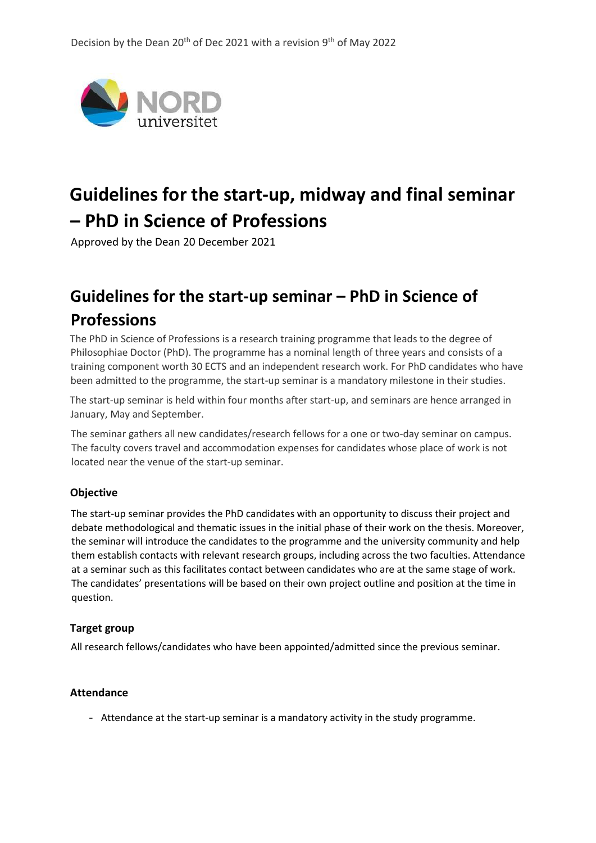

# **Guidelines for the start-up, midway and final seminar – PhD in Science of Professions**

Approved by the Dean 20 December 2021

# **Guidelines for the start-up seminar – PhD in Science of Professions**

The PhD in Science of Professions is a research training programme that leads to the degree of Philosophiae Doctor (PhD). The programme has a nominal length of three years and consists of a training component worth 30 ECTS and an independent research work. For PhD candidates who have been admitted to the programme, the start-up seminar is a mandatory milestone in their studies.

The start-up seminar is held within four months after start-up, and seminars are hence arranged in January, May and September.

The seminar gathers all new candidates/research fellows for a one or two-day seminar on campus. The faculty covers travel and accommodation expenses for candidates whose place of work is not located near the venue of the start-up seminar.

#### **Objective**

The start-up seminar provides the PhD candidates with an opportunity to discuss their project and debate methodological and thematic issues in the initial phase of their work on the thesis. Moreover, the seminar will introduce the candidates to the programme and the university community and help them establish contacts with relevant research groups, including across the two faculties. Attendance at a seminar such as this facilitates contact between candidates who are at the same stage of work. The candidates' presentations will be based on their own project outline and position at the time in question.

#### **Target group**

All research fellows/candidates who have been appointed/admitted since the previous seminar.

#### **Attendance**

- Attendance at the start-up seminar is a mandatory activity in the study programme.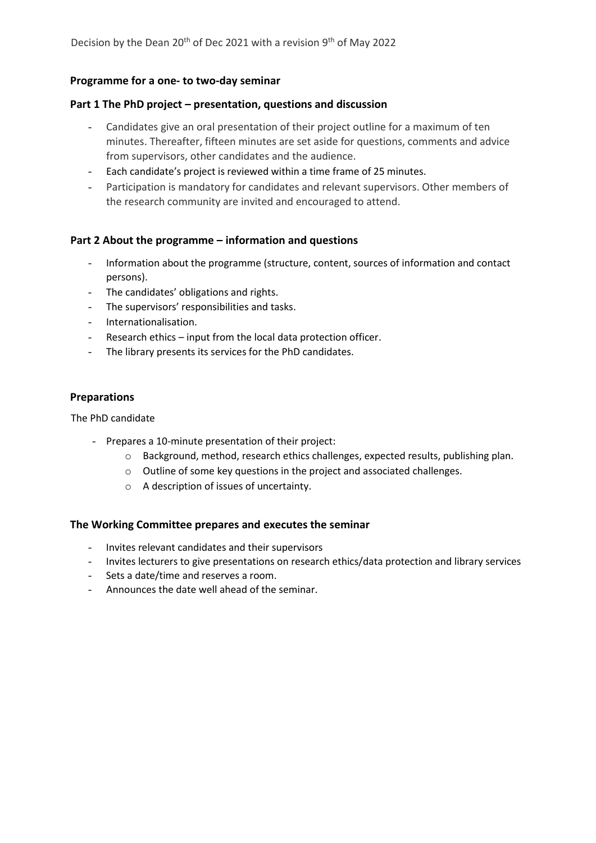#### **Programme for a one- to two-day seminar**

#### **Part 1 The PhD project – presentation, questions and discussion**

- Candidates give an oral presentation of their project outline for a maximum of ten minutes. Thereafter, fifteen minutes are set aside for questions, comments and advice from supervisors, other candidates and the audience.
- Each candidate's project is reviewed within a time frame of 25 minutes.
- Participation is mandatory for candidates and relevant supervisors. Other members of the research community are invited and encouraged to attend.

#### **Part 2 About the programme – information and questions**

- Information about the programme (structure, content, sources of information and contact persons).
- The candidates' obligations and rights.
- The supervisors' responsibilities and tasks.
- Internationalisation.
- Research ethics input from the local data protection officer.
- The library presents its services for the PhD candidates.

#### **Preparations**

The PhD candidate

- Prepares a 10-minute presentation of their project:
	- $\circ$  Background, method, research ethics challenges, expected results, publishing plan.
	- o Outline of some key questions in the project and associated challenges.
	- o A description of issues of uncertainty.

#### **The Working Committee prepares and executes the seminar**

- Invites relevant candidates and their supervisors
- Invites lecturers to give presentations on research ethics/data protection and library services
- Sets a date/time and reserves a room.
- Announces the date well ahead of the seminar.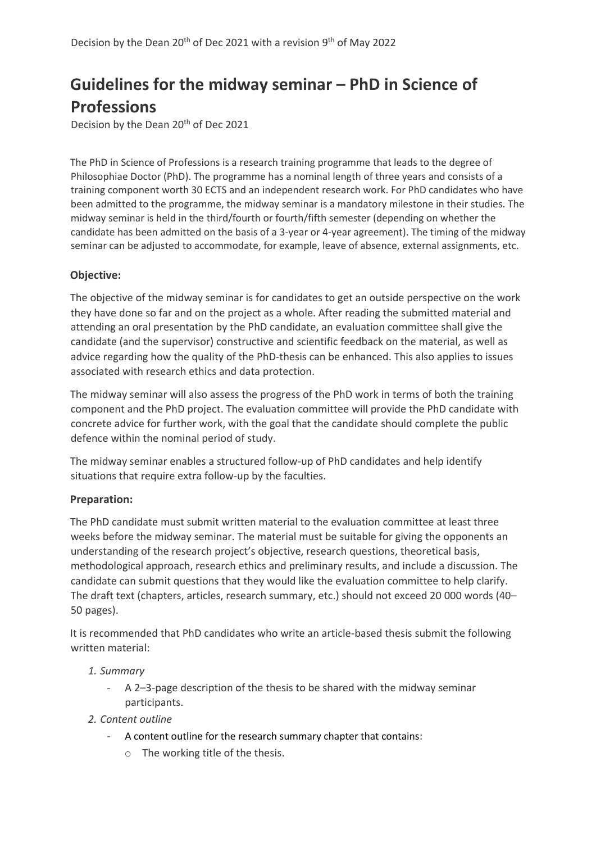# **Guidelines for the midway seminar – PhD in Science of Professions**

Decision by the Dean 20<sup>th</sup> of Dec 2021

The PhD in Science of Professions is a research training programme that leads to the degree of Philosophiae Doctor (PhD). The programme has a nominal length of three years and consists of a training component worth 30 ECTS and an independent research work. For PhD candidates who have been admitted to the programme, the midway seminar is a mandatory milestone in their studies. The midway seminar is held in the third/fourth or fourth/fifth semester (depending on whether the candidate has been admitted on the basis of a 3-year or 4-year agreement). The timing of the midway seminar can be adjusted to accommodate, for example, leave of absence, external assignments, etc.

## **Objective:**

The objective of the midway seminar is for candidates to get an outside perspective on the work they have done so far and on the project as a whole. After reading the submitted material and attending an oral presentation by the PhD candidate, an evaluation committee shall give the candidate (and the supervisor) constructive and scientific feedback on the material, as well as advice regarding how the quality of the PhD-thesis can be enhanced. This also applies to issues associated with research ethics and data protection.

The midway seminar will also assess the progress of the PhD work in terms of both the training component and the PhD project. The evaluation committee will provide the PhD candidate with concrete advice for further work, with the goal that the candidate should complete the public defence within the nominal period of study.

The midway seminar enables a structured follow-up of PhD candidates and help identify situations that require extra follow-up by the faculties.

#### **Preparation:**

The PhD candidate must submit written material to the evaluation committee at least three weeks before the midway seminar. The material must be suitable for giving the opponents an understanding of the research project's objective, research questions, theoretical basis, methodological approach, research ethics and preliminary results, and include a discussion. The candidate can submit questions that they would like the evaluation committee to help clarify. The draft text (chapters, articles, research summary, etc.) should not exceed 20 000 words (40– 50 pages).

It is recommended that PhD candidates who write an article-based thesis submit the following written material:

#### *1. Summary*

- A 2–3-page description of the thesis to be shared with the midway seminar participants.
- *2. Content outline*
	- A content outline for the research summary chapter that contains:
		- o The working title of the thesis.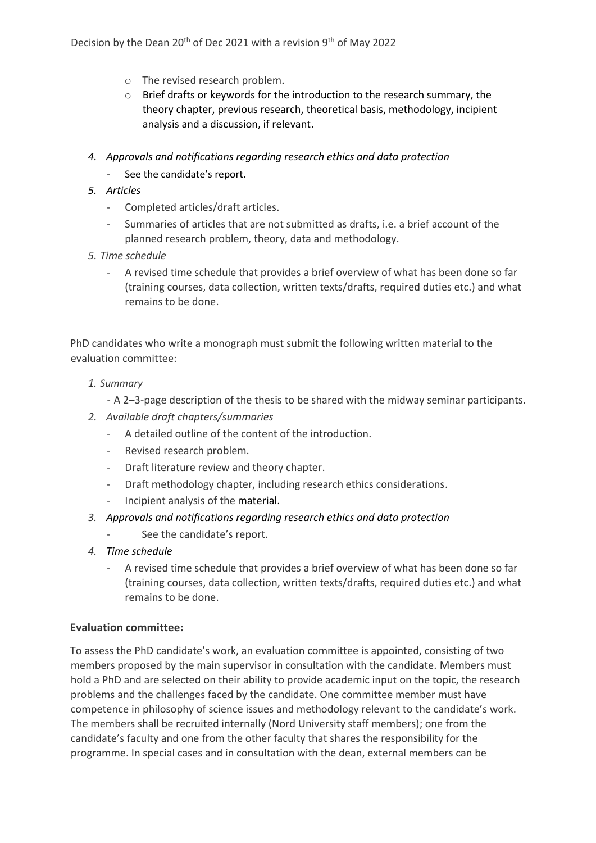- o The revised research problem.
- $\circ$  Brief drafts or keywords for the introduction to the research summary, the theory chapter, previous research, theoretical basis, methodology, incipient analysis and a discussion, if relevant.
- *4. Approvals and notifications regarding research ethics and data protection*  See the candidate's report.
- *5. Articles*
	- Completed articles/draft articles.
	- Summaries of articles that are not submitted as drafts, i.e. a brief account of the planned research problem, theory, data and methodology.
- *5. Time schedule*
	- A revised time schedule that provides a brief overview of what has been done so far (training courses, data collection, written texts/drafts, required duties etc.) and what remains to be done.

PhD candidates who write a monograph must submit the following written material to the evaluation committee:

- *1. Summary*
	- A 2–3-page description of the thesis to be shared with the midway seminar participants.
- *2. Available draft chapters/summaries*
	- A detailed outline of the content of the introduction.
	- Revised research problem.
	- Draft literature review and theory chapter.
	- Draft methodology chapter, including research ethics considerations.
	- Incipient analysis of the material.
- *3. Approvals and notifications regarding research ethics and data protection*
	- See the candidate's report.
- *4. Time schedule*
	- A revised time schedule that provides a brief overview of what has been done so far (training courses, data collection, written texts/drafts, required duties etc.) and what remains to be done.

#### **Evaluation committee:**

To assess the PhD candidate's work, an evaluation committee is appointed, consisting of two members proposed by the main supervisor in consultation with the candidate. Members must hold a PhD and are selected on their ability to provide academic input on the topic, the research problems and the challenges faced by the candidate. One committee member must have competence in philosophy of science issues and methodology relevant to the candidate's work. The members shall be recruited internally (Nord University staff members); one from the candidate's faculty and one from the other faculty that shares the responsibility for the programme. In special cases and in consultation with the dean, external members can be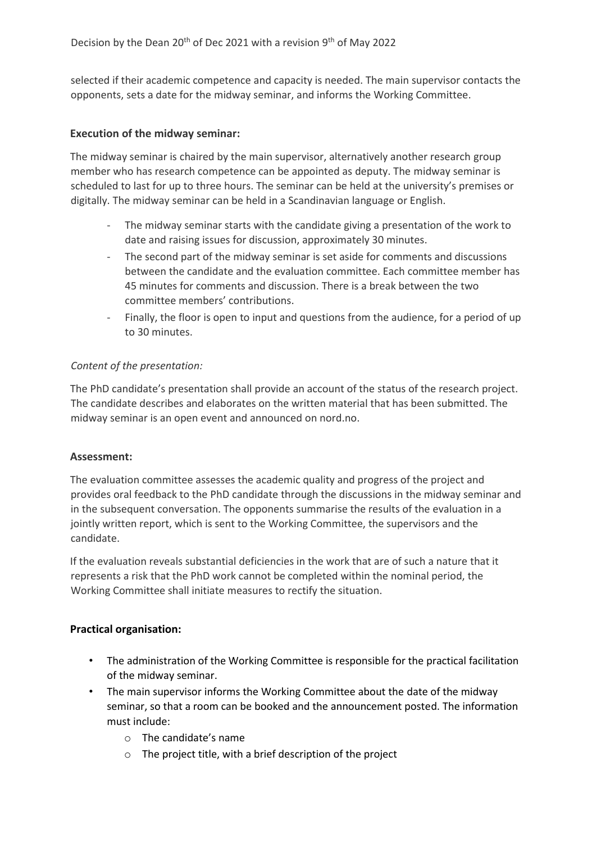selected if their academic competence and capacity is needed. The main supervisor contacts the opponents, sets a date for the midway seminar, and informs the Working Committee.

#### **Execution of the midway seminar:**

The midway seminar is chaired by the main supervisor, alternatively another research group member who has research competence can be appointed as deputy. The midway seminar is scheduled to last for up to three hours. The seminar can be held at the university's premises or digitally. The midway seminar can be held in a Scandinavian language or English.

- The midway seminar starts with the candidate giving a presentation of the work to date and raising issues for discussion, approximately 30 minutes.
- The second part of the midway seminar is set aside for comments and discussions between the candidate and the evaluation committee. Each committee member has 45 minutes for comments and discussion. There is a break between the two committee members' contributions.
- Finally, the floor is open to input and questions from the audience, for a period of up to 30 minutes.

#### *Content of the presentation:*

The PhD candidate's presentation shall provide an account of the status of the research project. The candidate describes and elaborates on the written material that has been submitted. The midway seminar is an open event and announced on nord.no.

#### **Assessment:**

The evaluation committee assesses the academic quality and progress of the project and provides oral feedback to the PhD candidate through the discussions in the midway seminar and in the subsequent conversation. The opponents summarise the results of the evaluation in a jointly written report, which is sent to the Working Committee, the supervisors and the candidate.

If the evaluation reveals substantial deficiencies in the work that are of such a nature that it represents a risk that the PhD work cannot be completed within the nominal period, the Working Committee shall initiate measures to rectify the situation.

#### **Practical organisation:**

- The administration of the Working Committee is responsible for the practical facilitation of the midway seminar.
- The main supervisor informs the Working Committee about the date of the midway seminar, so that a room can be booked and the announcement posted. The information must include:
	- o The candidate's name
	- $\circ$  The project title, with a brief description of the project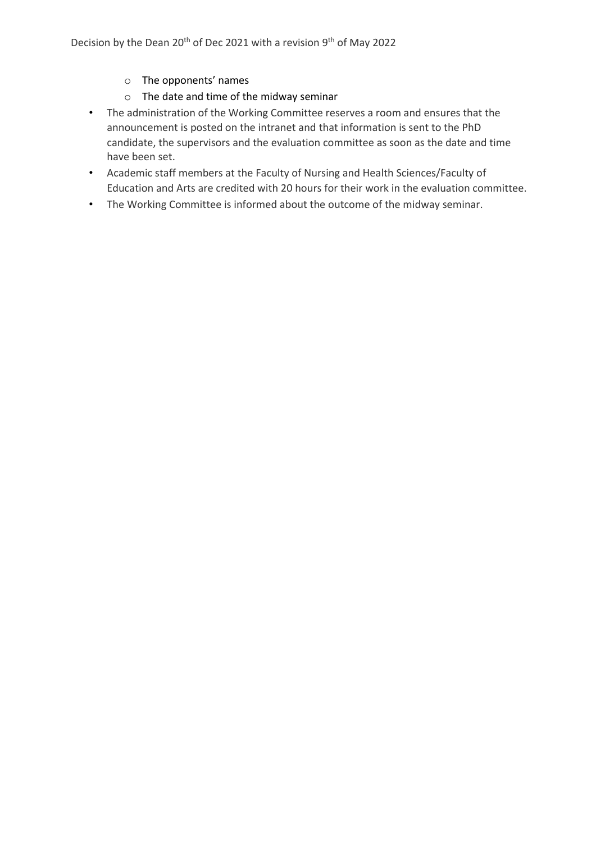Decision by the Dean 20<sup>th</sup> of Dec 2021 with a revision 9<sup>th</sup> of May 2022

- o The opponents' names
- o The date and time of the midway seminar
- The administration of the Working Committee reserves a room and ensures that the announcement is posted on the intranet and that information is sent to the PhD candidate, the supervisors and the evaluation committee as soon as the date and time have been set.
- Academic staff members at the Faculty of Nursing and Health Sciences/Faculty of Education and Arts are credited with 20 hours for their work in the evaluation committee.
- The Working Committee is informed about the outcome of the midway seminar.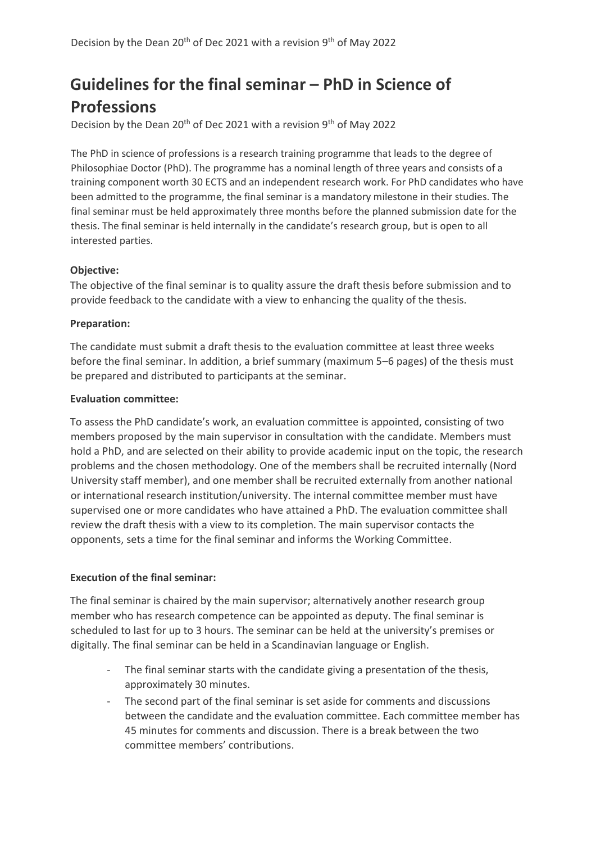# **Guidelines for the final seminar – PhD in Science of Professions**

Decision by the Dean 20<sup>th</sup> of Dec 2021 with a revision 9<sup>th</sup> of May 2022

The PhD in science of professions is a research training programme that leads to the degree of Philosophiae Doctor (PhD). The programme has a nominal length of three years and consists of a training component worth 30 ECTS and an independent research work. For PhD candidates who have been admitted to the programme, the final seminar is a mandatory milestone in their studies. The final seminar must be held approximately three months before the planned submission date for the thesis. The final seminar is held internally in the candidate's research group, but is open to all interested parties.

#### **Objective:**

The objective of the final seminar is to quality assure the draft thesis before submission and to provide feedback to the candidate with a view to enhancing the quality of the thesis.

## **Preparation:**

The candidate must submit a draft thesis to the evaluation committee at least three weeks before the final seminar. In addition, a brief summary (maximum 5–6 pages) of the thesis must be prepared and distributed to participants at the seminar.

#### **Evaluation committee:**

To assess the PhD candidate's work, an evaluation committee is appointed, consisting of two members proposed by the main supervisor in consultation with the candidate. Members must hold a PhD, and are selected on their ability to provide academic input on the topic, the research problems and the chosen methodology. One of the members shall be recruited internally (Nord University staff member), and one member shall be recruited externally from another national or international research institution/university. The internal committee member must have supervised one or more candidates who have attained a PhD. The evaluation committee shall review the draft thesis with a view to its completion. The main supervisor contacts the opponents, sets a time for the final seminar and informs the Working Committee.

#### **Execution of the final seminar:**

The final seminar is chaired by the main supervisor; alternatively another research group member who has research competence can be appointed as deputy. The final seminar is scheduled to last for up to 3 hours. The seminar can be held at the university's premises or digitally. The final seminar can be held in a Scandinavian language or English.

- The final seminar starts with the candidate giving a presentation of the thesis, approximately 30 minutes.
- The second part of the final seminar is set aside for comments and discussions between the candidate and the evaluation committee. Each committee member has 45 minutes for comments and discussion. There is a break between the two committee members' contributions.